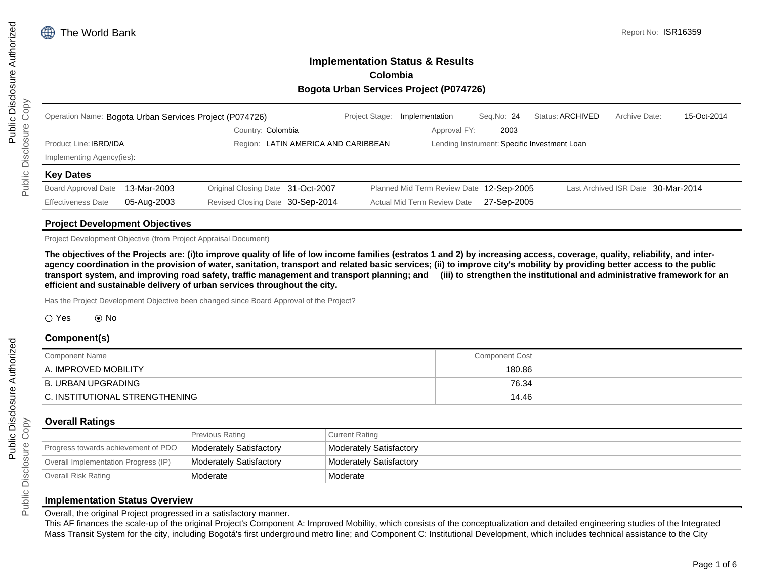# **Implementation Status & Results Colombia Bogota Urban Services Project (P074726)**

|                               |             | Operation Name: Bogota Urban Services Project (P074726) | Project Stage: | Implementation                           | Seq.No: 24  | Status: ARCHIVED                             | Archive Date: | 15-Oct-2014                        |
|-------------------------------|-------------|---------------------------------------------------------|----------------|------------------------------------------|-------------|----------------------------------------------|---------------|------------------------------------|
|                               |             | Country: Colombia                                       |                | Approval FY:                             | 2003        |                                              |               |                                    |
| Product Line: <b>IBRD/IDA</b> |             | Region: LATIN AMERICA AND CARIBBEAN                     |                |                                          |             | Lending Instrument: Specific Investment Loan |               |                                    |
| Implementing Agency(ies)      |             |                                                         |                |                                          |             |                                              |               |                                    |
| <b>Key Dates</b>              |             |                                                         |                |                                          |             |                                              |               |                                    |
| <b>Board Approval Date</b>    | 13-Mar-2003 | Original Closing Date 31-Oct-2007                       |                | Planned Mid Term Review Date 12-Sep-2005 |             |                                              |               | Last Archived ISR Date 30-Mar-2014 |
| <b>Effectiveness Date</b>     | 05-Aug-2003 | Revised Closing Date 30-Sep-2014                        |                | Actual Mid Term Review Date              | 27-Sep-2005 |                                              |               |                                    |
|                               |             |                                                         |                |                                          |             |                                              |               |                                    |

#### **Project Development Objectives**

Project Development Objective (from Project Appraisal Document)

**The objectives of the Projects are: (i)to improve quality of life of low income families (estratos 1 and 2) by increasing access, coverage, quality, reliability, and interagency coordination in the provision of water, sanitation, transport and related basic services; (ii) to improve city's mobility by providing better access to the public transport system, and improving road safety, traffic management and transport planning; and (iii) to strengthen the institutional and administrative framework for an efficient and sustainable delivery of urban services throughout the city.**

Has the Project Development Objective been changed since Board Approval of the Project?

#### $\bigcirc$  Yes  $\bigcirc$  No

### **Component(s)**

| <b>Component Name</b>          | <b>Component Cost</b> |  |
|--------------------------------|-----------------------|--|
| A. IMPROVED MOBILITY           | 180.86                |  |
| B. URBAN UPGRADING             | 76.34                 |  |
| C. INSTITUTIONAL STRENGTHENING | 14.46                 |  |

#### **Overall Ratings**

|                                      | Previous Rating         | Current Rating          |
|--------------------------------------|-------------------------|-------------------------|
| Progress towards achievement of PDO  | Moderately Satisfactory | Moderately Satisfactory |
| Overall Implementation Progress (IP) | Moderately Satisfactory | Moderately Satisfactory |
| Overall Risk Rating                  | Moderate                | Moderate                |

#### **Implementation Status Overview**

Overall, the original Project progressed in a satisfactory manner.

This AF finances the scale-up of the original Project's Component A: Improved Mobility, which consists of the conceptualization and detailed engineering studies of the Integrated Mass Transit System for the city, including Bogotá's first underground metro line; and Component C: Institutional Development, which includes technical assistance to the City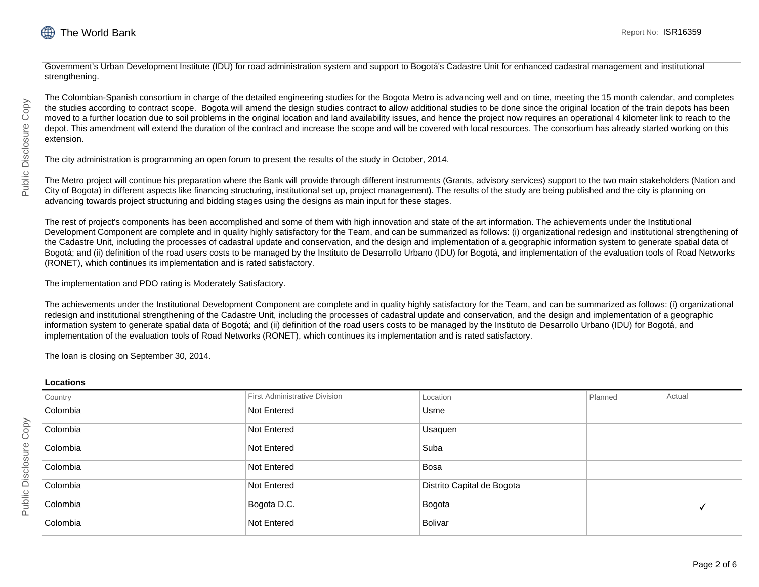

Government's Urban Development Institute (IDU) for road administration system and support to Bogotá's Cadastre Unit for enhanced cadastral management and institutional strengthening.

The Colombian-Spanish consortium in charge of the detailed engineering studies for the Bogota Metro is advancing well and on time, meeting the 15 month calendar, and completes the studies according to contract scope. Bogota will amend the design studies contract to allow additional studies to be done since the original location of the train depots has been moved to a further location due to soil problems in the original location and land availability issues, and hence the project now requires an operational 4 kilometer link to reach to the depot. This amendment will extend the duration of the contract and increase the scope and will be covered with local resources. The consortium has already started working on this extension.

The city administration is programming an open forum to present the results of the study in October, 2014.

The Metro project will continue his preparation where the Bank will provide through different instruments (Grants, advisory services) support to the two main stakeholders (Nation and City of Bogota) in different aspects like financing structuring, institutional set up, project management). The results of the study are being published and the city is planning on advancing towards project structuring and bidding stages using the designs as main input for these stages.

The rest of project's components has been accomplished and some of them with high innovation and state of the art information. The achievements under the Institutional Development Component are complete and in quality highly satisfactory for the Team, and can be summarized as follows: (i) organizational redesign and institutional strengthening of the Cadastre Unit, including the processes of cadastral update and conservation, and the design and implementation of a geographic information system to generate spatial data of Bogotá; and (ii) definition of the road users costs to be managed by the Instituto de Desarrollo Urbano (IDU) for Bogotá, and implementation of the evaluation tools of Road Networks (RONET), which continues its implementation and is rated satisfactory.

The implementation and PDO rating is Moderately Satisfactory.

The achievements under the Institutional Development Component are complete and in quality highly satisfactory for the Team, and can be summarized as follows: (i) organizational redesign and institutional strengthening of the Cadastre Unit, including the processes of cadastral update and conservation, and the design and implementation of a geographic information system to generate spatial data of Bogotá; and (ii) definition of the road users costs to be managed by the Instituto de Desarrollo Urbano (IDU) for Bogotá, and implementation of the evaluation tools of Road Networks (RONET), which continues its implementation and is rated satisfactory.

The loan is closing on September 30, 2014.

#### **Locations**

| .        |                                      |                            |         |        |
|----------|--------------------------------------|----------------------------|---------|--------|
| Country  | <b>First Administrative Division</b> | Location                   | Planned | Actual |
| Colombia | Not Entered                          | Usme                       |         |        |
| Colombia | Not Entered                          | Usaquen                    |         |        |
| Colombia | Not Entered                          | Suba                       |         |        |
| Colombia | Not Entered                          | Bosa                       |         |        |
| Colombia | Not Entered                          | Distrito Capital de Bogota |         |        |
| Colombia | Bogota D.C.                          | Bogota                     |         |        |
| Colombia | Not Entered                          | Bolivar                    |         |        |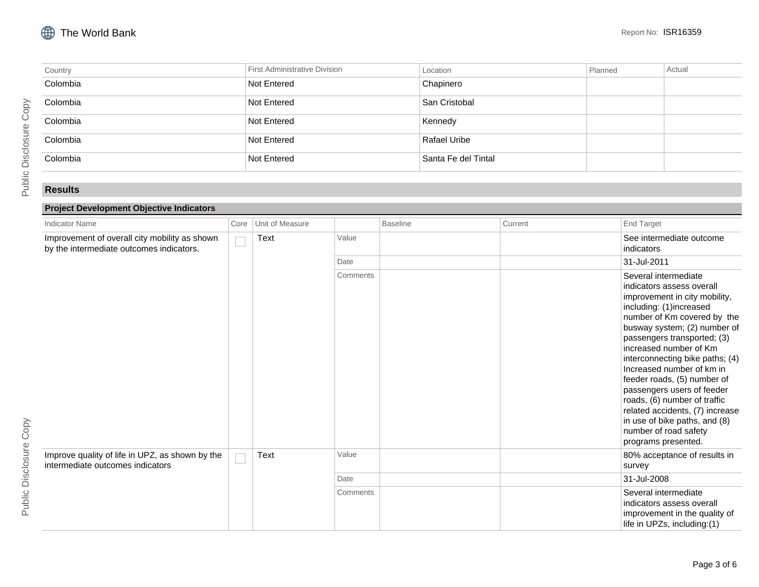| Country  | First Administrative Division | Location            | Planned | Actual |
|----------|-------------------------------|---------------------|---------|--------|
| Colombia | Not Entered                   | Chapinero           |         |        |
| Colombia | Not Entered                   | San Cristobal       |         |        |
| Colombia | Not Entered                   | Kennedy             |         |        |
| Colombia | Not Entered                   | Rafael Uribe        |         |        |
| Colombia | Not Entered                   | Santa Fe del Tintal |         |        |

### **Results**

## **Project Development Objective Indicators**

| <b>Indicator Name</b>                                                                     | Core | Unit of Measure |          | <b>Baseline</b> | Current | <b>End Target</b>                                                                                                                                                                                                                                                                                                                                                                                                                                                                                                      |
|-------------------------------------------------------------------------------------------|------|-----------------|----------|-----------------|---------|------------------------------------------------------------------------------------------------------------------------------------------------------------------------------------------------------------------------------------------------------------------------------------------------------------------------------------------------------------------------------------------------------------------------------------------------------------------------------------------------------------------------|
| Improvement of overall city mobility as shown<br>by the intermediate outcomes indicators. |      | Text            | Value    |                 |         | See intermediate outcome<br>indicators                                                                                                                                                                                                                                                                                                                                                                                                                                                                                 |
|                                                                                           |      |                 | Date     |                 |         | 31-Jul-2011                                                                                                                                                                                                                                                                                                                                                                                                                                                                                                            |
|                                                                                           |      |                 | Comments |                 |         | Several intermediate<br>indicators assess overall<br>improvement in city mobility,<br>including: (1)increased<br>number of Km covered by the<br>busway system; (2) number of<br>passengers transported; (3)<br>increased number of Km<br>interconnecting bike paths; (4)<br>Increased number of km in<br>feeder roads, (5) number of<br>passengers users of feeder<br>roads, (6) number of traffic<br>related accidents, (7) increase<br>in use of bike paths, and (8)<br>number of road safety<br>programs presented. |
| Improve quality of life in UPZ, as shown by the<br>intermediate outcomes indicators       |      | Text            | Value    |                 |         | 80% acceptance of results in<br>survey                                                                                                                                                                                                                                                                                                                                                                                                                                                                                 |
|                                                                                           |      |                 | Date     |                 |         | 31-Jul-2008                                                                                                                                                                                                                                                                                                                                                                                                                                                                                                            |
|                                                                                           |      |                 | Comments |                 |         | Several intermediate<br>indicators assess overall<br>improvement in the quality of<br>life in UPZs, including:(1)                                                                                                                                                                                                                                                                                                                                                                                                      |

Page 3 of 6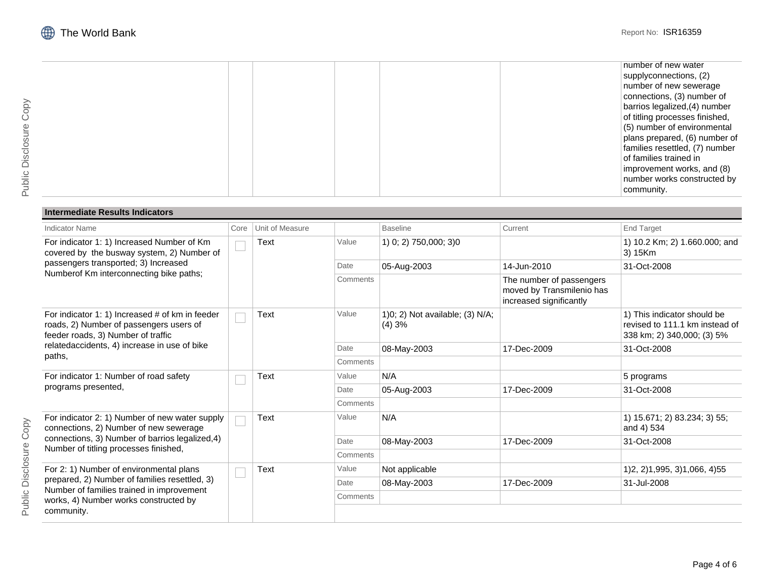|  |  | number of new water            |
|--|--|--------------------------------|
|  |  | supplyconnections, (2)         |
|  |  | number of new sewerage         |
|  |  | connections, (3) number of     |
|  |  | barrios legalized, (4) number  |
|  |  | of titling processes finished, |
|  |  | (5) number of environmental    |
|  |  | plans prepared, (6) number of  |
|  |  | families resettled, (7) number |
|  |  | of families trained in         |
|  |  | improvement works, and (8)     |
|  |  | number works constructed by    |
|  |  | community.                     |
|  |  |                                |

## **Intermediate Results Indicators**

| <b>Indicator Name</b>                                                                                                                                                       | Core | Unit of Measure |          | <b>Baseline</b>                          | Current                                                                          | <b>End Target</b>                                                                           |
|-----------------------------------------------------------------------------------------------------------------------------------------------------------------------------|------|-----------------|----------|------------------------------------------|----------------------------------------------------------------------------------|---------------------------------------------------------------------------------------------|
| For indicator 1: 1) Increased Number of Km<br>covered by the busway system, 2) Number of<br>passengers transported; 3) Increased<br>Numberof Km interconnecting bike paths; |      | Text            | Value    | 1) 0; 2) 750,000; 3)0                    |                                                                                  | 1) 10.2 Km; 2) 1.660.000; and<br>3) 15Km                                                    |
|                                                                                                                                                                             |      |                 | Date     | 05-Aug-2003                              | 14-Jun-2010                                                                      | 31-Oct-2008                                                                                 |
|                                                                                                                                                                             |      |                 | Comments |                                          | The number of passengers<br>moved by Transmilenio has<br>increased significantly |                                                                                             |
| For indicator 1: 1) Increased # of km in feeder<br>roads, 2) Number of passengers users of<br>feeder roads, 3) Number of traffic                                            |      | <b>Text</b>     | Value    | 1)0; 2) Not available; (3) N/A;<br>(4)3% |                                                                                  | 1) This indicator should be<br>revised to 111.1 km instead of<br>338 km; 2) 340,000; (3) 5% |
| relatedaccidents, 4) increase in use of bike<br>paths,                                                                                                                      |      |                 | Date     | 08-May-2003                              | 17-Dec-2009                                                                      | 31-Oct-2008                                                                                 |
|                                                                                                                                                                             |      |                 | Comments |                                          |                                                                                  |                                                                                             |
| For indicator 1: Number of road safety                                                                                                                                      |      | Text            | Value    | N/A                                      |                                                                                  | 5 programs                                                                                  |
| programs presented,                                                                                                                                                         |      |                 | Date     | 05-Aug-2003                              | 17-Dec-2009                                                                      | 31-Oct-2008                                                                                 |
|                                                                                                                                                                             |      |                 | Comments |                                          |                                                                                  |                                                                                             |
| For indicator 2: 1) Number of new water supply<br>connections, 2) Number of new sewerage                                                                                    |      | Text            | Value    | N/A                                      |                                                                                  | 1) 15.671; 2) 83.234; 3) 55;<br>and 4) 534                                                  |
| connections, 3) Number of barrios legalized, 4)                                                                                                                             |      |                 | Date     | 08-May-2003                              | 17-Dec-2009                                                                      | 31-Oct-2008                                                                                 |
| Number of titling processes finished,                                                                                                                                       |      |                 | Comments |                                          |                                                                                  |                                                                                             |
| For 2: 1) Number of environmental plans                                                                                                                                     |      | Text            | Value    | Not applicable                           |                                                                                  | 1) 2, 2) 1, 995, 3) 1, 066, 4) 55                                                           |
| prepared, 2) Number of families resettled, 3)                                                                                                                               |      |                 | Date     | 08-May-2003                              | 17-Dec-2009                                                                      | 31-Jul-2008                                                                                 |
| Number of families trained in improvement<br>works, 4) Number works constructed by                                                                                          |      |                 | Comments |                                          |                                                                                  |                                                                                             |
| community.                                                                                                                                                                  |      |                 |          |                                          |                                                                                  |                                                                                             |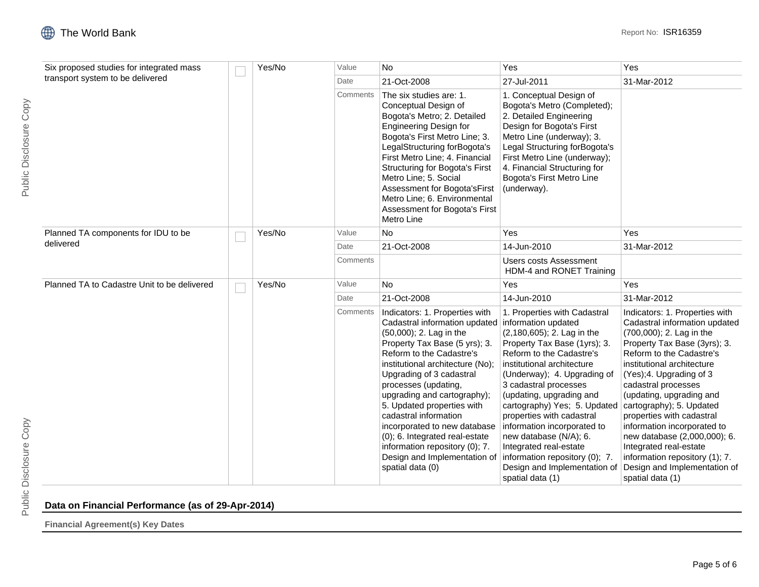|                                                                              |  | Yes/No | Value    | <b>No</b>                                                                                                                                                                                                                                                                                                                                                                                                                                                                                                         | Yes                                                                                                                                                                                                                                                                                                                                                                                                                                                                            | Yes                                                                                                                                                                                                                                                                                                                                                                                                                                                                                                         |
|------------------------------------------------------------------------------|--|--------|----------|-------------------------------------------------------------------------------------------------------------------------------------------------------------------------------------------------------------------------------------------------------------------------------------------------------------------------------------------------------------------------------------------------------------------------------------------------------------------------------------------------------------------|--------------------------------------------------------------------------------------------------------------------------------------------------------------------------------------------------------------------------------------------------------------------------------------------------------------------------------------------------------------------------------------------------------------------------------------------------------------------------------|-------------------------------------------------------------------------------------------------------------------------------------------------------------------------------------------------------------------------------------------------------------------------------------------------------------------------------------------------------------------------------------------------------------------------------------------------------------------------------------------------------------|
| Six proposed studies for integrated mass<br>transport system to be delivered |  |        |          |                                                                                                                                                                                                                                                                                                                                                                                                                                                                                                                   |                                                                                                                                                                                                                                                                                                                                                                                                                                                                                |                                                                                                                                                                                                                                                                                                                                                                                                                                                                                                             |
|                                                                              |  |        | Date     | 21-Oct-2008                                                                                                                                                                                                                                                                                                                                                                                                                                                                                                       | 27-Jul-2011                                                                                                                                                                                                                                                                                                                                                                                                                                                                    | 31-Mar-2012                                                                                                                                                                                                                                                                                                                                                                                                                                                                                                 |
|                                                                              |  |        | Comments | The six studies are: 1.<br>Conceptual Design of<br>Bogota's Metro; 2. Detailed<br><b>Engineering Design for</b><br>Bogota's First Metro Line; 3.<br>LegalStructuring forBogota's<br>First Metro Line; 4. Financial<br><b>Structuring for Bogota's First</b><br>Metro Line; 5. Social<br>Assessment for Bogota's First<br>Metro Line; 6. Environmental<br>Assessment for Bogota's First<br>Metro Line                                                                                                              | 1. Conceptual Design of<br>Bogota's Metro (Completed);<br>2. Detailed Engineering<br>Design for Bogota's First<br>Metro Line (underway); 3.<br>Legal Structuring forBogota's<br>First Metro Line (underway);<br>4. Financial Structuring for<br>Bogota's First Metro Line<br>(underway).                                                                                                                                                                                       |                                                                                                                                                                                                                                                                                                                                                                                                                                                                                                             |
| Planned TA components for IDU to be                                          |  | Yes/No | Value    | <b>No</b>                                                                                                                                                                                                                                                                                                                                                                                                                                                                                                         | Yes                                                                                                                                                                                                                                                                                                                                                                                                                                                                            | Yes                                                                                                                                                                                                                                                                                                                                                                                                                                                                                                         |
| delivered                                                                    |  |        | Date     | 21-Oct-2008                                                                                                                                                                                                                                                                                                                                                                                                                                                                                                       | 14-Jun-2010                                                                                                                                                                                                                                                                                                                                                                                                                                                                    | 31-Mar-2012                                                                                                                                                                                                                                                                                                                                                                                                                                                                                                 |
|                                                                              |  |        | Comments |                                                                                                                                                                                                                                                                                                                                                                                                                                                                                                                   | Users costs Assessment<br>HDM-4 and RONET Training                                                                                                                                                                                                                                                                                                                                                                                                                             |                                                                                                                                                                                                                                                                                                                                                                                                                                                                                                             |
| Planned TA to Cadastre Unit to be delivered                                  |  | Yes/No | Value    | <b>No</b>                                                                                                                                                                                                                                                                                                                                                                                                                                                                                                         | Yes                                                                                                                                                                                                                                                                                                                                                                                                                                                                            | Yes                                                                                                                                                                                                                                                                                                                                                                                                                                                                                                         |
|                                                                              |  |        | Date     | 21-Oct-2008                                                                                                                                                                                                                                                                                                                                                                                                                                                                                                       | 14-Jun-2010                                                                                                                                                                                                                                                                                                                                                                                                                                                                    | 31-Mar-2012                                                                                                                                                                                                                                                                                                                                                                                                                                                                                                 |
|                                                                              |  |        | Comments | Indicators: 1. Properties with<br>Cadastral information updated information updated<br>(50,000); 2. Lag in the<br>Property Tax Base (5 yrs); 3.<br>Reform to the Cadastre's<br>institutional architecture (No);<br>Upgrading of 3 cadastral<br>processes (updating,<br>upgrading and cartography);<br>5. Updated properties with<br>cadastral information<br>incorporated to new database<br>(0); 6. Integrated real-estate<br>information repository (0); 7.<br>Design and Implementation of<br>spatial data (0) | 1. Properties with Cadastral<br>(2,180,605); 2. Lag in the<br>Property Tax Base (1yrs); 3.<br>Reform to the Cadastre's<br>institutional architecture<br>(Underway); 4. Upgrading of<br>3 cadastral processes<br>(updating, upgrading and<br>cartography) Yes; 5. Updated<br>properties with cadastral<br>information incorporated to<br>new database (N/A); 6.<br>Integrated real-estate<br>information repository (0); 7.<br>Design and Implementation of<br>spatial data (1) | Indicators: 1. Properties with<br>Cadastral information updated<br>(700,000); 2. Lag in the<br>Property Tax Base (3yrs); 3.<br>Reform to the Cadastre's<br>institutional architecture<br>(Yes);4. Upgrading of 3<br>cadastral processes<br>(updating, upgrading and<br>cartography); 5. Updated<br>properties with cadastral<br>information incorporated to<br>new database (2,000,000); 6.<br>Integrated real-estate<br>information repository (1); 7.<br>Design and Implementation of<br>spatial data (1) |

# **Data on Financial Performance (as of 29-Apr-2014)**

**Financial Agreement(s) Key Dates**

Public Disclosure Copy

Public Disclosure Copy